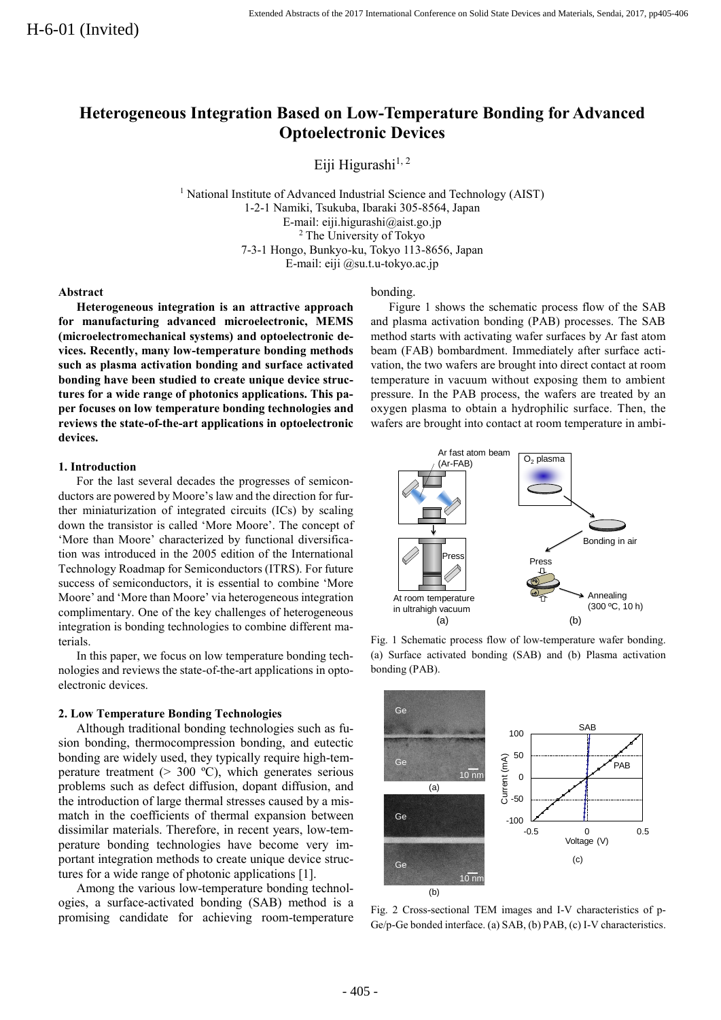# **Heterogeneous Integration Based on Low-Temperature Bonding for Advanced Optoelectronic Devices**

Eiji Higurashi $^{1,2}$ 

<sup>1</sup> National Institute of Advanced Industrial Science and Technology (AIST) 1-2-1 Namiki, Tsukuba, Ibaraki 305-8564, Japan E-mail: eiji.higurashi@aist.go.jp <sup>2</sup> The University of Tokyo 7-3-1 Hongo, Bunkyo-ku, Tokyo 113-8656, Japan E-mail: eiji @su.t.u-tokyo.ac.jp

### **Abstract**

**Heterogeneous integration is an attractive approach for manufacturing advanced microelectronic, MEMS (microelectromechanical systems) and optoelectronic devices. Recently, many low-temperature bonding methods such as plasma activation bonding and surface activated bonding have been studied to create unique device structures for a wide range of photonics applications. This paper focuses on low temperature bonding technologies and reviews the state-of-the-art applications in optoelectronic devices.**

### **1. Introduction**

For the last several decades the progresses of semiconductors are powered by Moore's law and the direction for further miniaturization of integrated circuits (ICs) by scaling down the transistor is called 'More Moore'. The concept of 'More than Moore' characterized by functional diversification was introduced in the 2005 edition of the International Technology Roadmap for Semiconductors (ITRS). For future success of semiconductors, it is essential to combine 'More Moore' and 'More than Moore' via heterogeneous integration complimentary. One of the key challenges of heterogeneous integration is bonding technologies to combine different materials.

In this paper, we focus on low temperature bonding technologies and reviews the state-of-the-art applications in optoelectronic devices.

### **2. Low Temperature Bonding Technologies**

Although traditional bonding technologies such as fusion bonding, thermocompression bonding, and eutectic bonding are widely used, they typically require high-temperature treatment ( $> 300$  °C), which generates serious problems such as defect diffusion, dopant diffusion, and the introduction of large thermal stresses caused by a mismatch in the coefficients of thermal expansion between dissimilar materials. Therefore, in recent years, low-temperature bonding technologies have become very important integration methods to create unique device structures for a wide range of photonic applications [1].

Among the various low-temperature bonding technologies, a surface-activated bonding (SAB) method is a promising candidate for achieving room-temperature

### bonding.

Figure 1 shows the schematic process flow of the SAB and plasma activation bonding (PAB) processes. The SAB method starts with activating wafer surfaces by Ar fast atom beam (FAB) bombardment. Immediately after surface activation, the two wafers are brought into direct contact at room temperature in vacuum without exposing them to ambient pressure. In the PAB process, the wafers are treated by an oxygen plasma to obtain a hydrophilic surface. Then, the wafers are brought into contact at room temperature in ambi-



Fig. 1 Schematic process flow of low-temperature wafer bonding. (a) Surface activated bonding (SAB) and (b) Plasma activation bonding (PAB).



Fig. 2 Cross-sectional TEM images and I-V characteristics of p-Ge/p-Ge bonded interface. (a) SAB, (b) PAB, (c) I-V characteristics.